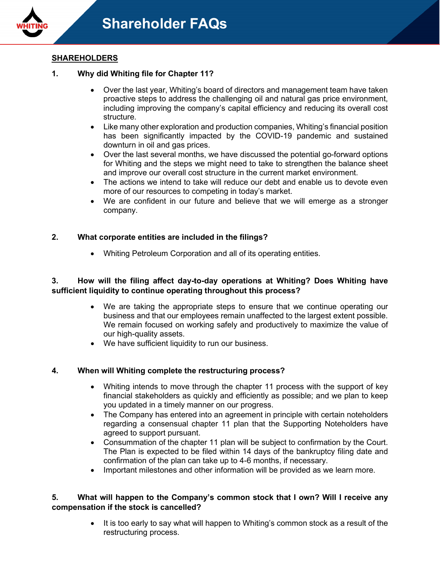

# **SHAREHOLDERS**

## **1. Why did Whiting file for Chapter 11?**

- Over the last year, Whiting's board of directors and management team have taken proactive steps to address the challenging oil and natural gas price environment, including improving the company's capital efficiency and reducing its overall cost structure.
- Like many other exploration and production companies, Whiting's financial position has been significantly impacted by the COVID-19 pandemic and sustained downturn in oil and gas prices.
- Over the last several months, we have discussed the potential go-forward options for Whiting and the steps we might need to take to strengthen the balance sheet and improve our overall cost structure in the current market environment.
- The actions we intend to take will reduce our debt and enable us to devote even more of our resources to competing in today's market.
- We are confident in our future and believe that we will emerge as a stronger company.

# **2. What corporate entities are included in the filings?**

• Whiting Petroleum Corporation and all of its operating entities.

### **3. How will the filing affect day-to-day operations at Whiting? Does Whiting have sufficient liquidity to continue operating throughout this process?**

- We are taking the appropriate steps to ensure that we continue operating our business and that our employees remain unaffected to the largest extent possible. We remain focused on working safely and productively to maximize the value of our high-quality assets.
- We have sufficient liquidity to run our business.

#### **4. When will Whiting complete the restructuring process?**

- Whiting intends to move through the chapter 11 process with the support of key financial stakeholders as quickly and efficiently as possible; and we plan to keep you updated in a timely manner on our progress.
- The Company has entered into an agreement in principle with certain noteholders regarding a consensual chapter 11 plan that the Supporting Noteholders have agreed to support pursuant.
- Consummation of the chapter 11 plan will be subject to confirmation by the Court. The Plan is expected to be filed within 14 days of the bankruptcy filing date and confirmation of the plan can take up to 4-6 months, if necessary.
- Important milestones and other information will be provided as we learn more.

#### **5. What will happen to the Company's common stock that I own? Will I receive any compensation if the stock is cancelled?**

It is too early to say what will happen to Whiting's common stock as a result of the restructuring process.